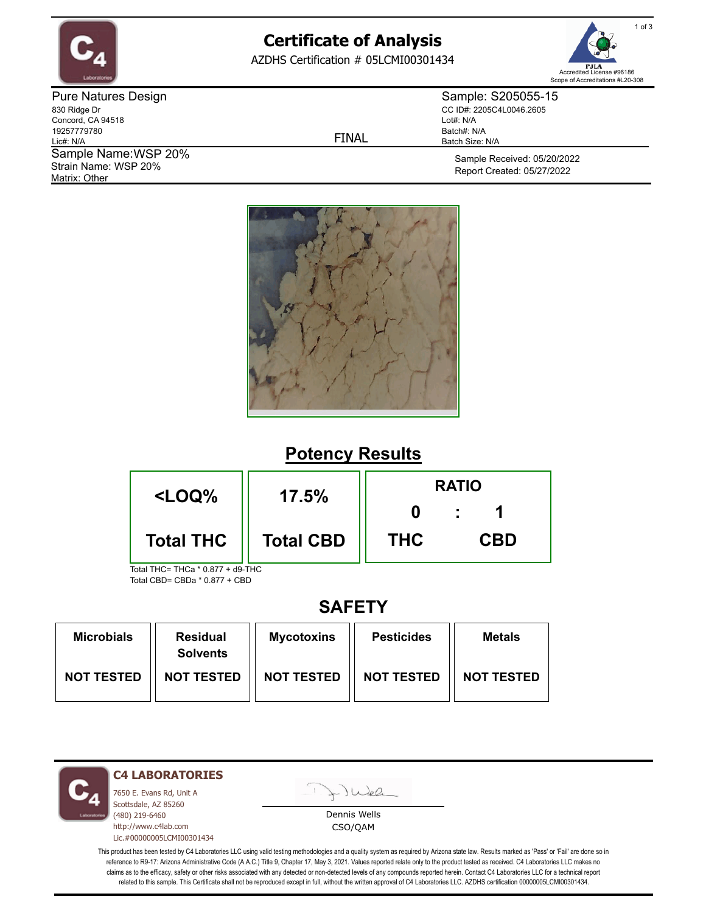

# **Certificate of Analysis**

AZDHS Certification # 05LCMI00301434



Pure Natures Design 830 Ridge Dr Concord, CA 94518 19257779780 Lic#: N/A Matrix: Other Sample Name: WSP 20% Strain Name: WSP 20%

FINAL

Sample: S205055-15 CC ID#: 2205C4L0046.2605 Lot#: N/A Batch#: N/A Batch Size: N/A

> Sample Received: 05/20/2022 Report Created: 05/27/2022



### **Potency Results**



### **SAFETY**

| <b>Microbials</b> | <b>Residual</b><br><b>Solvents</b> | <b>Mycotoxins</b> | <b>Pesticides</b> | <b>Metals</b>     |
|-------------------|------------------------------------|-------------------|-------------------|-------------------|
| <b>NOT TESTED</b> | <b>NOT TESTED</b>                  | <b>NOT TESTED</b> | <b>NOT TESTED</b> | <b>NOT TESTED</b> |

**C4 LABORATORIES**

7650 E. Evans Rd, Unit A Scottsdale, AZ 85260 (480) 219-6460 http://www.c4lab.com Lic.#00000005LCMI00301434 Juea

Dennis Wells CSO/QAM

This product has been tested by C4 Laboratories LLC using valid testing methodologies and a quality system as required by Arizona state law. Results marked as 'Pass' or 'Fail' are done so in reference to R9-17: Arizona Administrative Code (A.A.C.) Title 9, Chapter 17, May 3, 2021. Values reported relate only to the product tested as received. C4 Laboratories LLC makes no claims as to the efficacy, safety or other risks associated with any detected or non-detected levels of any compounds reported herein. Contact C4 Laboratories LLC for a technical report related to this sample. This Certificate shall not be reproduced except in full, without the written approval of C4 Laboratories LLC. AZDHS certification 00000005LCMI00301434.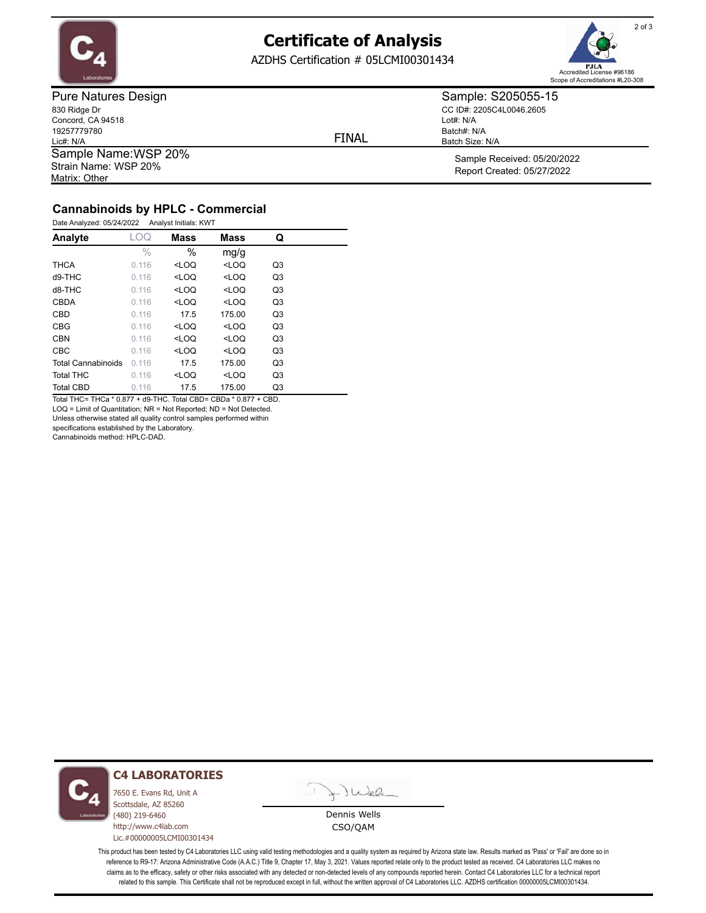

## **Certificate of Analysis**

AZDHS Certification # 05LCMI00301434



Pure Natures Design 830 Ridge Dr Concord, CA 94518 19257779780 Lic#: N/A Matrix: Other Sample Name: WSP 20% Strain Name: WSP 20%

FINAL

CC ID#: 2205C4L0046.2605 Lot#: N/A Batch#: N/A Batch Size: N/A

> Sample Received: 05/20/2022 Report Created: 05/27/2022

Sample: S205055-15

#### **Cannabinoids by HPLC - Commercial**

| Date Analyzed: 05/24/2022 |               | Analyst Initials: KWT                                       |         |                |
|---------------------------|---------------|-------------------------------------------------------------|---------|----------------|
| Analyte                   | LOQ           | <b>Mass</b>                                                 | Mass    | Q              |
|                           | $\frac{0}{0}$ | $\%$                                                        | mg/g    |                |
| THCA                      | 0.116         | <loq< th=""><th><math>&lt;</math>LOQ</th><th>Q3</th></loq<> | $<$ LOQ | Q3             |
| d9-THC                    | 0.116         | $<$ LOQ                                                     | $<$ LOQ | Q3             |
| d8-THC                    | 0.116         | <loq< td=""><td><math>&lt;</math>LOQ</td><td>Q3</td></loq<> | $<$ LOQ | Q3             |
| CBDA                      | 0.116         | $<$ LOQ                                                     | $<$ LOQ | Q3             |
| CBD                       | 0.116         | 17.5                                                        | 175.00  | Q3             |
| CBG                       | 0.116         | $<$ LOQ                                                     | $<$ LOQ | Q3             |
| <b>CBN</b>                | 0.116         | $<$ LOQ                                                     | $<$ LOQ | Q3             |
| <b>CBC</b>                | 0.116         | $<$ LOQ                                                     | $<$ LOQ | Q <sub>3</sub> |
| <b>Total Cannabinoids</b> | 0.116         | 17.5                                                        | 175.00  | Q3             |
| <b>Total THC</b>          | 0.116         | $<$ LOQ                                                     | $<$ LOQ | Q3             |
| <b>Total CBD</b>          | 0.116         | 17.5                                                        | 175.00  | Q3             |

Total THC= THCa \* 0.877 + d9-THC. Total CBD= CBDa \* 0.877 + CBD. LOQ = Limit of Quantitation; NR = Not Reported; ND = Not Detected.

Unless otherwise stated all quality control samples performed within

specifications established by the Laboratory.

Cannabinoids method: HPLC-DAD.



#### **C4 LABORATORIES**

7650 E. Evans Rd, Unit A Scottsdale, AZ 85260 (480) 219-6460 http://www.c4lab.com Lic.#00000005LCMI00301434

Juea

Dennis Wells CSO/QAM

This product has been tested by C4 Laboratories LLC using valid testing methodologies and a quality system as required by Arizona state law. Results marked as 'Pass' or 'Fail' are done so in reference to R9-17: Arizona Administrative Code (A.A.C.) Title 9, Chapter 17, May 3, 2021. Values reported relate only to the product tested as received. C4 Laboratories LLC makes no claims as to the efficacy, safety or other risks associated with any detected or non-detected levels of any compounds reported herein. Contact C4 Laboratories LLC for a technical report related to this sample. This Certificate shall not be reproduced except in full, without the written approval of C4 Laboratories LLC. AZDHS certification 00000005LCMI00301434.

2 of 3